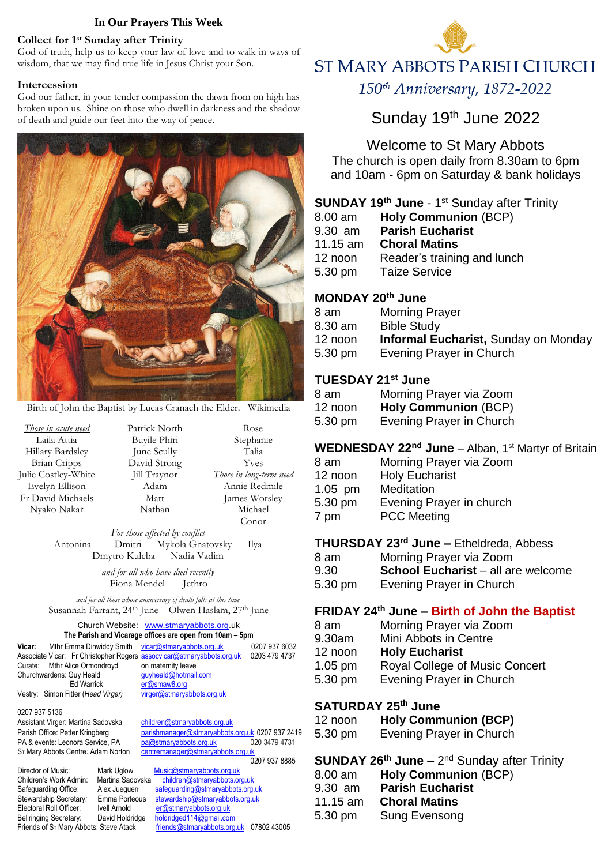#### **In Our Prayers This Week**

#### **Collect for 1 st Sunday after Trinity**

God of truth, help us to keep your law of love and to walk in ways of wisdom, that we may find true life in Jesus Christ your Son.

#### **Intercession**

God our father, in your tender compassion the dawn from on high has broken upon us. Shine on those who dwell in darkness and the shadow of death and guide our feet into the way of peace.



Birth of John the Baptist by Lucas Cranach the Elder. Wikimedia

*Those in acute need* Laila Attia Hillary Bardsley Brian Cripps Julie Costley-White Evelyn Ellison Fr David Michaels Nyako Nakar

Patrick North Buyile Phiri June Scully David Strong Jill Traynor Adam Matt Nathan

Rose Stephanie Talia Yves *Those in long-term need* Annie Redmile James Worsley Michael Conor

*For those affected by conflict* Antonina Dmitri Mykola Gnatovsky Ilya Dmytro Kuleba Nadia Vadim

> *and for all who have died recently* Fiona Mendel Jethro

*and for all those whose anniversary of death falls at this time* Susannah Farrant, 24th June Olwen Haslam, 27th June

#### Church Website:[www.stmaryabbots.org.](http://www.stmaryabbots.org/)uk **The Parish and Vicarage offices are open from 10am – 5pm Vicar:** Mthr Emma Dinwiddy Smith[vicar@stmaryabbots.org.uk](mailto:vicar@stmaryabbots.org.uk) 0207 937 6032

| Mthr Emma Dinwiddy Smith vicar@stmaryabbots.org.uk                    | 0207 937 6032 |
|-----------------------------------------------------------------------|---------------|
| Associate Vicar: Fr Christopher Rogers assocvicar@stmaryabbots.org.uk | 0203 479 4737 |
| on maternity leave                                                    |               |
| guyheald@hotmail.com                                                  |               |
| er@smaw8.org                                                          |               |
| virger@stmaryabbots.org.uk                                            |               |
|                                                                       |               |

0207 937 5136 Assistant Virger: Martina Sadovska [children@stmaryabbots.org.uk](mailto:children@stmaryabbots.org.uk) PA & events: Leonora Service, PA ST Mary Abbots Centre: Adam Norton [centremanager@stmaryabbots.org.uk](mailto:centremanager@stmaryabbots.org.uk)

Director of Music: Mark Uglow Music@stmaryabbots.org.uk<br>Children's Work Admin: Martina Sadovska children@stmaryabbots.org Electoral Roll Officer: Ivell Arnold [er@stmaryabbots.org.uk](mailto:er@stmaryabbots.org.uk) Bellringing Secretary: David Holdridge [holdridged114@gmail.com](mailto:holdridged114@gmail.com)<br>Friends of S⊤ Mary Abbots: Steve Atack friends@stmaryabbots.org

Vestry: Simon Fitter (*Head Virger)* [virger@stmaryabbots.org.uk](mailto:virger@stmaryabbots.org.uk) Parish Office: Petter Kringberg [parishmanager@stmaryabbots.org.uk](mailto:parishmanager@stmaryabbots.org.uk) 0207 937 2419<br>PA & events: Leonora Service, PA pa@stmaryabbots.org.uk 020 3479 4731 0207 937 8885<br>Mark Uglow Music@stmaryabbots.org.uk

[children@stmaryabbots.org.uk](mailto:children@stmaryabbots.org.uk) Safeguarding Office: Alex Jueguen [safeguarding@stmaryabbots.org.uk](mailto:safeguarding@stmaryabbots.org.uk) Stewardship Secretary*:* Emma Porteous [stewardship@stmaryabbots.org.uk](mailto:stewardship@stmaryabbots.org.uk) [friends@stmaryabbots.org.uk](mailto:friends@stmaryabbots.org.uk) 07802 43005



# **ST MARY ABBOTS PARISH CHURCH**

150th Anniversary, 1872-2022

# Sunday 19th June 2022

Welcome to St Mary Abbots The church is open daily from 8.30am to 6pm

and 10am - 6pm on Saturday & bank holidays

#### **SUNDAY 19th June** - 1 st Sunday after Trinity

| 8.00 am    | <b>Holy Communion (BCP)</b> |
|------------|-----------------------------|
| 9.30 am    | <b>Parish Eucharist</b>     |
| $11.15$ am | <b>Choral Matins</b>        |
| 12 noon    | Reader's training and lunch |
| 5.30 pm    | <b>Taize Service</b>        |

#### **MONDAY 20th June**

| <b>Morning Prayer</b>                       |
|---------------------------------------------|
| <b>Bible Study</b>                          |
| <b>Informal Eucharist, Sunday on Monday</b> |
| Evening Prayer in Church                    |
|                                             |

## **TUESDAY 21st June**

| 8 am    | Morning Prayer via Zoom     |
|---------|-----------------------------|
| 12 noon | <b>Holy Communion (BCP)</b> |
| 5.30 pm | Evening Prayer in Church    |

# **WEDNESDAY 22nd June** – Alban, 1st Martyr of Britain

- 8 am Morning Prayer via Zoom 12 noon Holy Eucharist
- 1.05 pm Meditation
- 5.30 pm Evening Prayer in church
- 7 pm PCC Meeting

# **THURSDAY 23rd June –** Etheldreda, Abbess

- 8 am Morning Prayer via Zoom
- 9.30 **School Eucharist** all are welcome
- 5.30 pm Evening Prayer in Church

## **FRIDAY 24th June – Birth of John the Baptist**

- 8 am Morning Prayer via Zoom
- 9.30am Mini Abbots in Centre
- 12 noon **Holy Eucharist**
- 1.05 pm Royal College of Music Concert
- 5.30 pm Evening Prayer in Church

# **SATURDAY 25th June**

| <b>Holy Communion (BCP)</b><br>12 noon |
|----------------------------------------|
|----------------------------------------|

| 5.30 pm | <b>Evening Prayer in Church</b> |
|---------|---------------------------------|
|---------|---------------------------------|

#### **SUNDAY 26<sup>th</sup> June** – 2<sup>nd</sup> Sunday after Trinity

| $8.00$ am | <b>Holy Communion (BCP)</b> |
|-----------|-----------------------------|
| $9.30$ am | <b>Parish Eucharist</b>     |
| 11.15 am  | <b>Choral Matins</b>        |
| 5.30 pm   | Sung Evensong               |